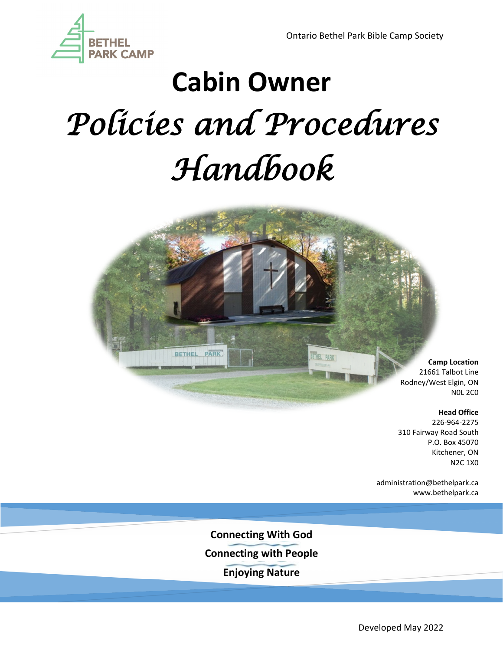

# **Cabin Owner** *Policies and Procedures Handbook*

BETHEL PARK



#### **Head Office**

226-964-2275 310 Fairway Road South P.O. Box 45070 Kitchener, ON N2C 1X0

administration@bethelpark.ca www.bethelpark.ca

**Connecting With God Connecting with People Enjoying Nature**

Developed May 2022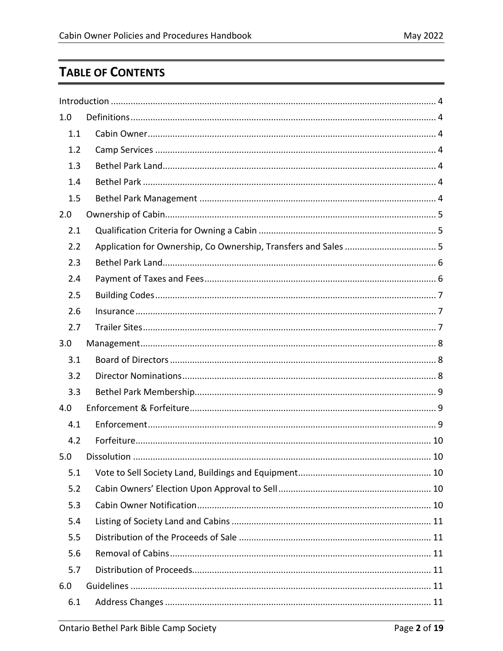# **TABLE OF CONTENTS**

| 1.0 |  |
|-----|--|
| 1.1 |  |
| 1.2 |  |
| 1.3 |  |
| 1.4 |  |
| 1.5 |  |
| 2.0 |  |
| 2.1 |  |
| 2.2 |  |
| 2.3 |  |
| 2.4 |  |
| 2.5 |  |
| 2.6 |  |
| 2.7 |  |
| 3.0 |  |
| 3.1 |  |
| 3.2 |  |
| 3.3 |  |
| 4.0 |  |
| 4.1 |  |
| 4.2 |  |
| 5.0 |  |
| 5.1 |  |
| 5.2 |  |
| 5.3 |  |
| 5.4 |  |
| 5.5 |  |
| 5.6 |  |
| 5.7 |  |
| 6.0 |  |
| 6.1 |  |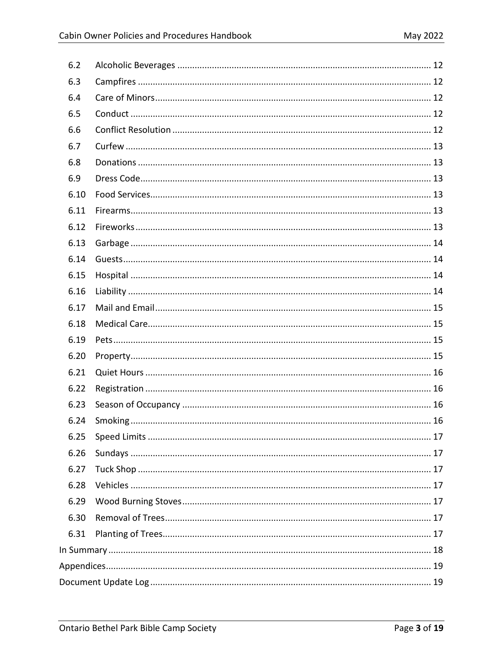| 6.2  |  |  |
|------|--|--|
| 6.3  |  |  |
| 6.4  |  |  |
| 6.5  |  |  |
| 6.6  |  |  |
| 6.7  |  |  |
| 6.8  |  |  |
| 6.9  |  |  |
| 6.10 |  |  |
| 6.11 |  |  |
| 6.12 |  |  |
| 6.13 |  |  |
| 6.14 |  |  |
| 6.15 |  |  |
| 6.16 |  |  |
| 6.17 |  |  |
| 6.18 |  |  |
| 6.19 |  |  |
| 6.20 |  |  |
| 6.21 |  |  |
| 6.22 |  |  |
| 6.23 |  |  |
| 6.24 |  |  |
| 6.25 |  |  |
| 6.26 |  |  |
| 6.27 |  |  |
| 6.28 |  |  |
| 6.29 |  |  |
| 6.30 |  |  |
| 6.31 |  |  |
|      |  |  |
|      |  |  |
|      |  |  |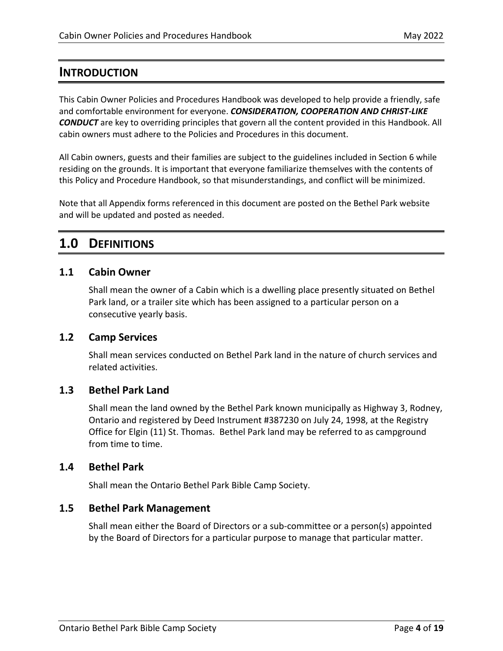# <span id="page-3-0"></span>**INTRODUCTION**

This Cabin Owner Policies and Procedures Handbook was developed to help provide a friendly, safe and comfortable environment for everyone. *CONSIDERATION, COOPERATION AND CHRIST-LIKE CONDUCT* are key to overriding principles that govern all the content provided in this Handbook. All cabin owners must adhere to the Policies and Procedures in this document.

All Cabin owners, guests and their families are subject to the guidelines included in Section 6 while residing on the grounds. It is important that everyone familiarize themselves with the contents of this Policy and Procedure Handbook, so that misunderstandings, and conflict will be minimized.

Note that all Appendix forms referenced in this document are posted on the Bethel Park website and will be updated and posted as needed.

# <span id="page-3-1"></span>**1.0 DEFINITIONS**

#### <span id="page-3-2"></span>**1.1 Cabin Owner**

Shall mean the owner of a Cabin which is a dwelling place presently situated on Bethel Park land, or a trailer site which has been assigned to a particular person on a consecutive yearly basis.

#### <span id="page-3-3"></span>**1.2 Camp Services**

Shall mean services conducted on Bethel Park land in the nature of church services and related activities.

### <span id="page-3-4"></span>**1.3 Bethel Park Land**

Shall mean the land owned by the Bethel Park known municipally as Highway 3, Rodney, Ontario and registered by Deed Instrument #387230 on July 24, 1998, at the Registry Office for Elgin (11) St. Thomas. Bethel Park land may be referred to as campground from time to time.

#### <span id="page-3-5"></span>**1.4 Bethel Park**

Shall mean the Ontario Bethel Park Bible Camp Society.

#### <span id="page-3-6"></span>**1.5 Bethel Park Management**

Shall mean either the Board of Directors or a sub-committee or a person(s) appointed by the Board of Directors for a particular purpose to manage that particular matter.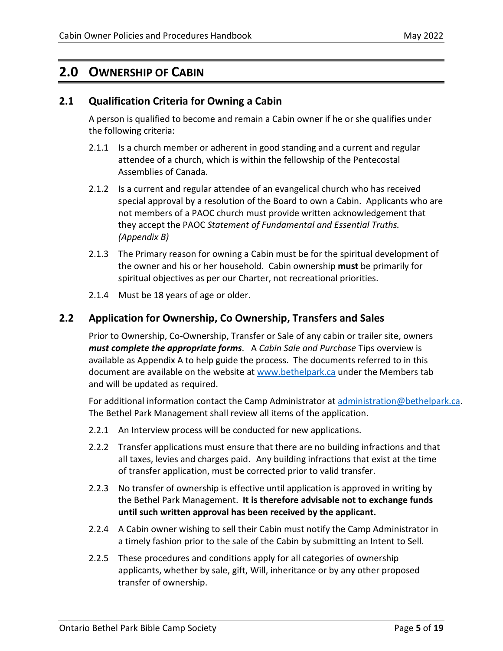# <span id="page-4-0"></span>**2.0 OWNERSHIP OF CABIN**

### <span id="page-4-1"></span>**2.1 Qualification Criteria for Owning a Cabin**

A person is qualified to become and remain a Cabin owner if he or she qualifies under the following criteria:

- 2.1.1 Is a church member or adherent in good standing and a current and regular attendee of a church, which is within the fellowship of the Pentecostal Assemblies of Canada.
- 2.1.2 Is a current and regular attendee of an evangelical church who has received special approval by a resolution of the Board to own a Cabin. Applicants who are not members of a PAOC church must provide written acknowledgement that they accept the PAOC *Statement of Fundamental and Essential Truths. (Appendix B)*
- 2.1.3 The Primary reason for owning a Cabin must be for the spiritual development of the owner and his or her household. Cabin ownership **must** be primarily for spiritual objectives as per our Charter, not recreational priorities.
- 2.1.4 Must be 18 years of age or older.

### <span id="page-4-2"></span>**2.2 Application for Ownership, Co Ownership, Transfers and Sales**

Prior to Ownership, Co-Ownership, Transfer or Sale of any cabin or trailer site, owners *must complete the appropriate forms*. A *Cabin Sale and Purchase* Tips overview is available as Appendix A to help guide the process. The documents referred to in this document are available on the website at [www.bethelpark.ca](http://www.bethelpark.ca/) under the Members tab and will be updated as required.

For additional information contact the Camp Administrator at [administration@bethelpark.ca.](mailto:administration@bethelpark.ca) The Bethel Park Management shall review all items of the application.

- 2.2.1 An Interview process will be conducted for new applications.
- 2.2.2 Transfer applications must ensure that there are no building infractions and that all taxes, levies and charges paid. Any building infractions that exist at the time of transfer application, must be corrected prior to valid transfer.
- 2.2.3 No transfer of ownership is effective until application is approved in writing by the Bethel Park Management. **It is therefore advisable not to exchange funds until such written approval has been received by the applicant.**
- 2.2.4 A Cabin owner wishing to sell their Cabin must notify the Camp Administrator in a timely fashion prior to the sale of the Cabin by submitting an Intent to Sell.
- 2.2.5 These procedures and conditions apply for all categories of ownership applicants, whether by sale, gift, Will, inheritance or by any other proposed transfer of ownership.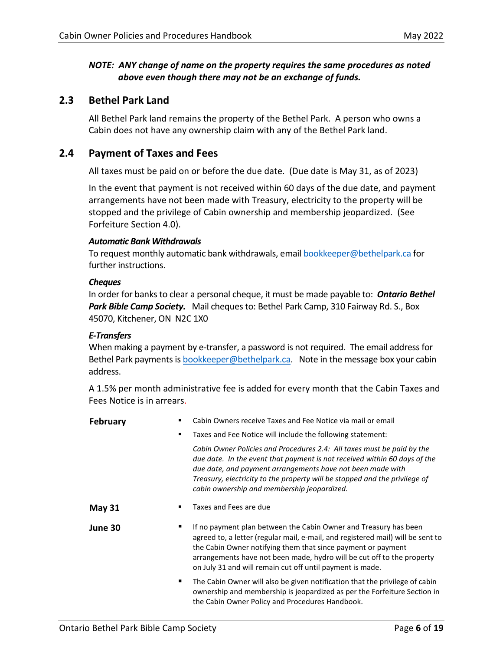#### *NOTE: ANY change of name on the property requires the same procedures as noted above even though there may not be an exchange of funds.*

### <span id="page-5-0"></span>**2.3 Bethel Park Land**

All Bethel Park land remains the property of the Bethel Park. A person who owns a Cabin does not have any ownership claim with any of the Bethel Park land.

#### <span id="page-5-1"></span>**2.4 Payment of Taxes and Fees**

All taxes must be paid on or before the due date. (Due date is May 31, as of 2023)

In the event that payment is not received within 60 days of the due date, and payment arrangements have not been made with Treasury, electricity to the property will be stopped and the privilege of Cabin ownership and membership jeopardized. (See Forfeiture Section 4.0).

#### *Automatic Bank Withdrawals*

To request monthly automatic bank withdrawals, emai[l bookkeeper@bethelpark.ca](mailto:bookkeeper@bethelpark.ca) for further instructions.

#### *Cheques*

In order for banks to clear a personal cheque, it must be made payable to: *Ontario Bethel Park Bible Camp Society.* Mail cheques to: Bethel Park Camp, 310 Fairway Rd. S., Box 45070, Kitchener, ON N2C 1X0

#### *E-Transfers*

When making a payment by e-transfer, a password is not required. The email address for Bethel Park payments i[s bookkeeper@bethelpark.ca.](mailto:bookkeeper@bethelpark.ca) Note in the message box your cabin address.

A 1.5% per month administrative fee is added for every month that the Cabin Taxes and Fees Notice is in arrears.

| <b>February</b> | Cabin Owners receive Taxes and Fee Notice via mail or email<br>Taxes and Fee Notice will include the following statement: |                                                                                                                                                                                                                                                                                                                                                            |  |
|-----------------|---------------------------------------------------------------------------------------------------------------------------|------------------------------------------------------------------------------------------------------------------------------------------------------------------------------------------------------------------------------------------------------------------------------------------------------------------------------------------------------------|--|
|                 |                                                                                                                           |                                                                                                                                                                                                                                                                                                                                                            |  |
|                 |                                                                                                                           | Cabin Owner Policies and Procedures 2.4: All taxes must be paid by the<br>due date. In the event that payment is not received within 60 days of the<br>due date, and payment arrangements have not been made with<br>Treasury, electricity to the property will be stopped and the privilege of<br>cabin ownership and membership jeopardized.             |  |
| <b>May 31</b>   |                                                                                                                           | Taxes and Fees are due                                                                                                                                                                                                                                                                                                                                     |  |
| June 30         |                                                                                                                           | If no payment plan between the Cabin Owner and Treasury has been<br>agreed to, a letter (regular mail, e-mail, and registered mail) will be sent to<br>the Cabin Owner notifying them that since payment or payment<br>arrangements have not been made, hydro will be cut off to the property<br>on July 31 and will remain cut off until payment is made. |  |
|                 |                                                                                                                           | The Cabin Owner will also be given notification that the privilege of cabin<br>ownership and membership is jeopardized as per the Forfeiture Section in<br>the Cabin Owner Policy and Procedures Handbook.                                                                                                                                                 |  |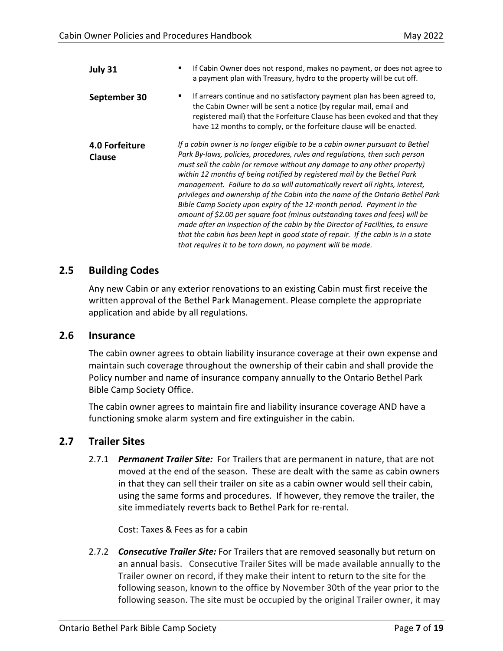| July 31                  | If Cabin Owner does not respond, makes no payment, or does not agree to<br>a payment plan with Treasury, hydro to the property will be cut off.                                                                                                                                                                                                                                                                                                                                                                                                                                                                                                                                                                                                                                                                                                                                    |
|--------------------------|------------------------------------------------------------------------------------------------------------------------------------------------------------------------------------------------------------------------------------------------------------------------------------------------------------------------------------------------------------------------------------------------------------------------------------------------------------------------------------------------------------------------------------------------------------------------------------------------------------------------------------------------------------------------------------------------------------------------------------------------------------------------------------------------------------------------------------------------------------------------------------|
| September 30             | If arrears continue and no satisfactory payment plan has been agreed to,<br>٠<br>the Cabin Owner will be sent a notice (by regular mail, email and<br>registered mail) that the Forfeiture Clause has been evoked and that they<br>have 12 months to comply, or the forfeiture clause will be enacted.                                                                                                                                                                                                                                                                                                                                                                                                                                                                                                                                                                             |
| 4.0 Forfeiture<br>Clause | If a cabin owner is no longer eligible to be a cabin owner pursuant to Bethel<br>Park By-laws, policies, procedures, rules and regulations, then such person<br>must sell the cabin (or remove without any damage to any other property)<br>within 12 months of being notified by registered mail by the Bethel Park<br>management. Failure to do so will automatically revert all rights, interest,<br>privileges and ownership of the Cabin into the name of the Ontario Bethel Park<br>Bible Camp Society upon expiry of the 12-month period. Payment in the<br>amount of \$2.00 per square foot (minus outstanding taxes and fees) will be<br>made after an inspection of the cabin by the Director of Facilities, to ensure<br>that the cabin has been kept in good state of repair. If the cabin is in a state<br>that requires it to be torn down, no payment will be made. |

#### <span id="page-6-0"></span>**2.5 Building Codes**

Any new Cabin or any exterior renovations to an existing Cabin must first receive the written approval of the Bethel Park Management. Please complete the appropriate application and abide by all regulations.

#### <span id="page-6-1"></span>**2.6 Insurance**

The cabin owner agrees to obtain liability insurance coverage at their own expense and maintain such coverage throughout the ownership of their cabin and shall provide the Policy number and name of insurance company annually to the Ontario Bethel Park Bible Camp Society Office.

The cabin owner agrees to maintain fire and liability insurance coverage AND have a functioning smoke alarm system and fire extinguisher in the cabin.

#### <span id="page-6-2"></span>**2.7 Trailer Sites**

2.7.1 *Permanent Trailer Site:* For Trailers that are permanent in nature, that are not moved at the end of the season. These are dealt with the same as cabin owners in that they can sell their trailer on site as a cabin owner would sell their cabin, using the same forms and procedures. If however, they remove the trailer, the site immediately reverts back to Bethel Park for re-rental.

Cost: Taxes & Fees as for a cabin

2.7.2 *Consecutive Trailer Site:* For Trailers that are removed seasonally but return on an annual basis. Consecutive Trailer Sites will be made available annually to the Trailer owner on record, if they make their intent to return to the site for the following season, known to the office by November 30th of the year prior to the following season. The site must be occupied by the original Trailer owner, it may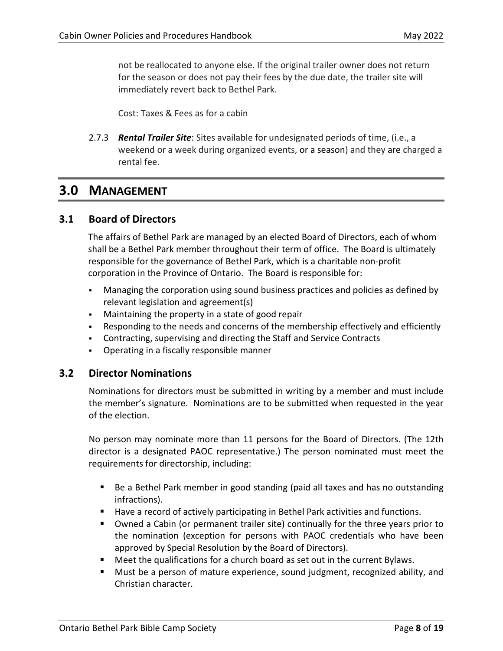not be reallocated to anyone else. If the original trailer owner does not return for the season or does not pay their fees by the due date, the trailer site will immediately revert back to Bethel Park.

Cost: Taxes & Fees as for a cabin

2.7.3 *Rental Trailer Site*: Sites available for undesignated periods of time, (i.e., a weekend or a week during organized events, or a season) and they are charged a rental fee.

## <span id="page-7-0"></span>**3.0 MANAGEMENT**

#### <span id="page-7-1"></span>**3.1 Board of Directors**

The affairs of Bethel Park are managed by an elected Board of Directors, each of whom shall be a Bethel Park member throughout their term of office. The Board is ultimately responsible for the governance of Bethel Park, which is a charitable non-profit corporation in the Province of Ontario. The Board is responsible for:

- Managing the corporation using sound business practices and policies as defined by relevant legislation and agreement(s)
- Maintaining the property in a state of good repair
- Responding to the needs and concerns of the membership effectively and efficiently
- Contracting, supervising and directing the Staff and Service Contracts
- Operating in a fiscally responsible manner

#### <span id="page-7-2"></span>**3.2 Director Nominations**

Nominations for directors must be submitted in writing by a member and must include the member's signature. Nominations are to be submitted when requested in the year of the election.

No person may nominate more than 11 persons for the Board of Directors. (The 12th director is a designated PAOC representative.) The person nominated must meet the requirements for directorship, including:

- Be a Bethel Park member in good standing (paid all taxes and has no outstanding infractions).
- Have a record of actively participating in Bethel Park activities and functions.
- Owned a Cabin (or permanent trailer site) continually for the three years prior to the nomination (exception for persons with PAOC credentials who have been approved by Special Resolution by the Board of Directors).
- Meet the qualifications for a church board as set out in the current Bylaws.
- Must be a person of mature experience, sound judgment, recognized ability, and Christian character.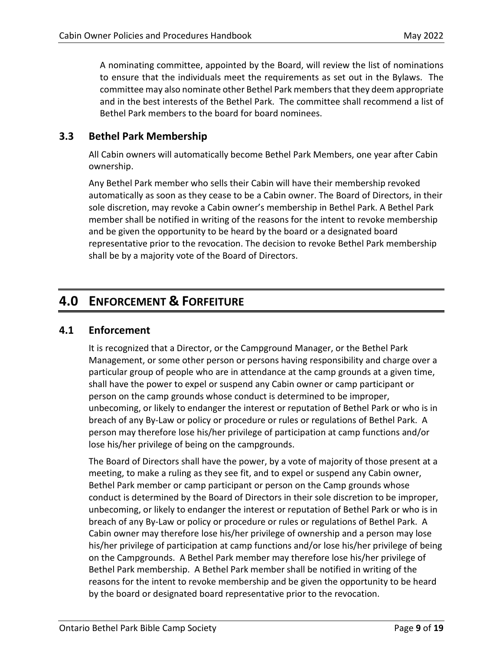A nominating committee, appointed by the Board, will review the list of nominations to ensure that the individuals meet the requirements as set out in the Bylaws. The committee may also nominate other Bethel Park members that they deem appropriate and in the best interests of the Bethel Park. The committee shall recommend a list of Bethel Park members to the board for board nominees.

## <span id="page-8-0"></span>**3.3 Bethel Park Membership**

All Cabin owners will automatically become Bethel Park Members, one year after Cabin ownership.

Any Bethel Park member who sells their Cabin will have their membership revoked automatically as soon as they cease to be a Cabin owner. The Board of Directors, in their sole discretion, may revoke a Cabin owner's membership in Bethel Park. A Bethel Park member shall be notified in writing of the reasons for the intent to revoke membership and be given the opportunity to be heard by the board or a designated board representative prior to the revocation. The decision to revoke Bethel Park membership shall be by a majority vote of the Board of Directors.

# <span id="page-8-1"></span>**4.0 ENFORCEMENT & FORFEITURE**

### <span id="page-8-2"></span>**4.1 Enforcement**

It is recognized that a Director, or the Campground Manager, or the Bethel Park Management, or some other person or persons having responsibility and charge over a particular group of people who are in attendance at the camp grounds at a given time, shall have the power to expel or suspend any Cabin owner or camp participant or person on the camp grounds whose conduct is determined to be improper, unbecoming, or likely to endanger the interest or reputation of Bethel Park or who is in breach of any By-Law or policy or procedure or rules or regulations of Bethel Park. A person may therefore lose his/her privilege of participation at camp functions and/or lose his/her privilege of being on the campgrounds.

The Board of Directors shall have the power, by a vote of majority of those present at a meeting, to make a ruling as they see fit, and to expel or suspend any Cabin owner, Bethel Park member or camp participant or person on the Camp grounds whose conduct is determined by the Board of Directors in their sole discretion to be improper, unbecoming, or likely to endanger the interest or reputation of Bethel Park or who is in breach of any By-Law or policy or procedure or rules or regulations of Bethel Park. A Cabin owner may therefore lose his/her privilege of ownership and a person may lose his/her privilege of participation at camp functions and/or lose his/her privilege of being on the Campgrounds. A Bethel Park member may therefore lose his/her privilege of Bethel Park membership. A Bethel Park member shall be notified in writing of the reasons for the intent to revoke membership and be given the opportunity to be heard by the board or designated board representative prior to the revocation.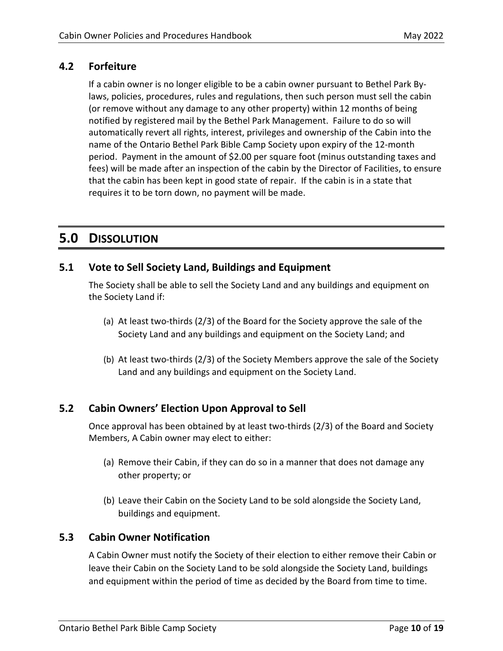## <span id="page-9-0"></span>**4.2 Forfeiture**

If a cabin owner is no longer eligible to be a cabin owner pursuant to Bethel Park Bylaws, policies, procedures, rules and regulations, then such person must sell the cabin (or remove without any damage to any other property) within 12 months of being notified by registered mail by the Bethel Park Management. Failure to do so will automatically revert all rights, interest, privileges and ownership of the Cabin into the name of the Ontario Bethel Park Bible Camp Society upon expiry of the 12-month period. Payment in the amount of \$2.00 per square foot (minus outstanding taxes and fees) will be made after an inspection of the cabin by the Director of Facilities, to ensure that the cabin has been kept in good state of repair. If the cabin is in a state that requires it to be torn down, no payment will be made.

# <span id="page-9-1"></span>**5.0 DISSOLUTION**

## <span id="page-9-2"></span>**5.1 Vote to Sell Society Land, Buildings and Equipment**

The Society shall be able to sell the Society Land and any buildings and equipment on the Society Land if:

- (a) At least two-thirds (2/3) of the Board for the Society approve the sale of the Society Land and any buildings and equipment on the Society Land; and
- (b) At least two-thirds (2/3) of the Society Members approve the sale of the Society Land and any buildings and equipment on the Society Land.

## <span id="page-9-3"></span>**5.2 Cabin Owners' Election Upon Approval to Sell**

Once approval has been obtained by at least two-thirds (2/3) of the Board and Society Members, A Cabin owner may elect to either:

- (a) Remove their Cabin, if they can do so in a manner that does not damage any other property; or
- (b) Leave their Cabin on the Society Land to be sold alongside the Society Land, buildings and equipment.

### <span id="page-9-4"></span>**5.3 Cabin Owner Notification**

A Cabin Owner must notify the Society of their election to either remove their Cabin or leave their Cabin on the Society Land to be sold alongside the Society Land, buildings and equipment within the period of time as decided by the Board from time to time.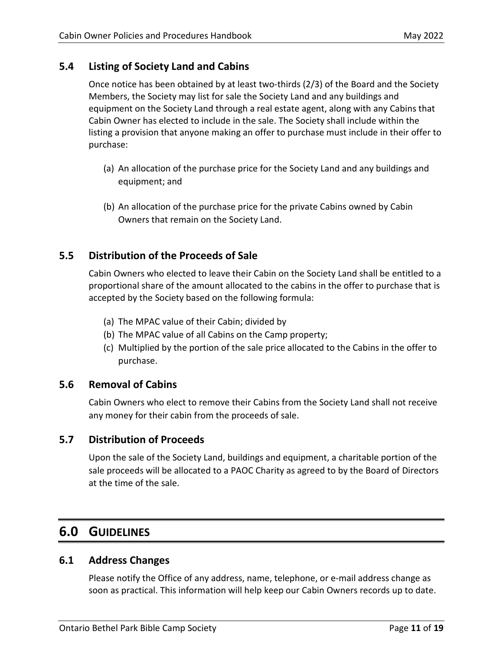<span id="page-10-0"></span>Once notice has been obtained by at least two-thirds (2/3) of the Board and the Society Members, the Society may list for sale the Society Land and any buildings and equipment on the Society Land through a real estate agent, along with any Cabins that Cabin Owner has elected to include in the sale. The Society shall include within the listing a provision that anyone making an offer to purchase must include in their offer to purchase:

- (a) An allocation of the purchase price for the Society Land and any buildings and equipment; and
- (b) An allocation of the purchase price for the private Cabins owned by Cabin Owners that remain on the Society Land.

## <span id="page-10-1"></span>**5.5 Distribution of the Proceeds of Sale**

Cabin Owners who elected to leave their Cabin on the Society Land shall be entitled to a proportional share of the amount allocated to the cabins in the offer to purchase that is accepted by the Society based on the following formula:

- (a) The MPAC value of their Cabin; divided by
- (b) The MPAC value of all Cabins on the Camp property;
- (c) Multiplied by the portion of the sale price allocated to the Cabins in the offer to purchase.

## <span id="page-10-2"></span>**5.6 Removal of Cabins**

Cabin Owners who elect to remove their Cabins from the Society Land shall not receive any money for their cabin from the proceeds of sale.

## <span id="page-10-3"></span>**5.7 Distribution of Proceeds**

Upon the sale of the Society Land, buildings and equipment, a charitable portion of the sale proceeds will be allocated to a PAOC Charity as agreed to by the Board of Directors at the time of the sale.

# <span id="page-10-4"></span>**6.0 GUIDELINES**

### <span id="page-10-5"></span>**6.1 Address Changes**

Please notify the Office of any address, name, telephone, or e-mail address change as soon as practical. This information will help keep our Cabin Owners records up to date.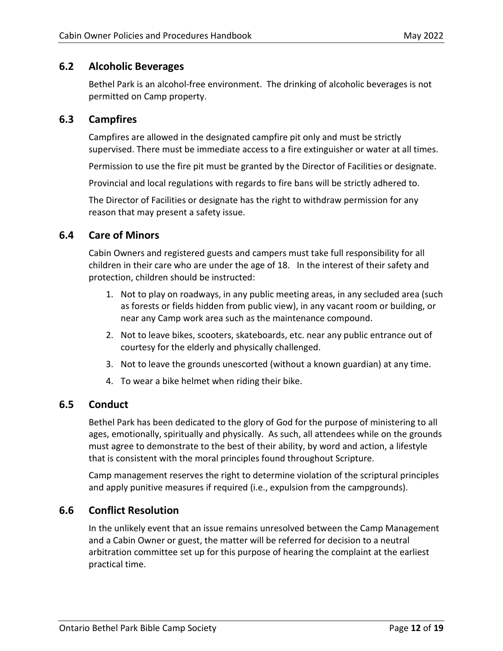### <span id="page-11-0"></span>**6.2 Alcoholic Beverages**

Bethel Park is an alcohol-free environment. The drinking of alcoholic beverages is not permitted on Camp property.

### <span id="page-11-1"></span>**6.3 Campfires**

Campfires are allowed in the designated campfire pit only and must be strictly supervised. There must be immediate access to a fire extinguisher or water at all times.

Permission to use the fire pit must be granted by the Director of Facilities or designate.

Provincial and local regulations with regards to fire bans will be strictly adhered to.

The Director of Facilities or designate has the right to withdraw permission for any reason that may present a safety issue.

## <span id="page-11-2"></span>**6.4 Care of Minors**

Cabin Owners and registered guests and campers must take full responsibility for all children in their care who are under the age of 18. In the interest of their safety and protection, children should be instructed:

- 1. Not to play on roadways, in any public meeting areas, in any secluded area (such as forests or fields hidden from public view), in any vacant room or building, or near any Camp work area such as the maintenance compound.
- 2. Not to leave bikes, scooters, skateboards, etc. near any public entrance out of courtesy for the elderly and physically challenged.
- 3. Not to leave the grounds unescorted (without a known guardian) at any time.
- 4. To wear a bike helmet when riding their bike.

### <span id="page-11-3"></span>**6.5 Conduct**

Bethel Park has been dedicated to the glory of God for the purpose of ministering to all ages, emotionally, spiritually and physically. As such, all attendees while on the grounds must agree to demonstrate to the best of their ability, by word and action, a lifestyle that is consistent with the moral principles found throughout Scripture.

Camp management reserves the right to determine violation of the scriptural principles and apply punitive measures if required (i.e., expulsion from the campgrounds).

### <span id="page-11-4"></span>**6.6 Conflict Resolution**

In the unlikely event that an issue remains unresolved between the Camp Management and a Cabin Owner or guest, the matter will be referred for decision to a neutral arbitration committee set up for this purpose of hearing the complaint at the earliest practical time.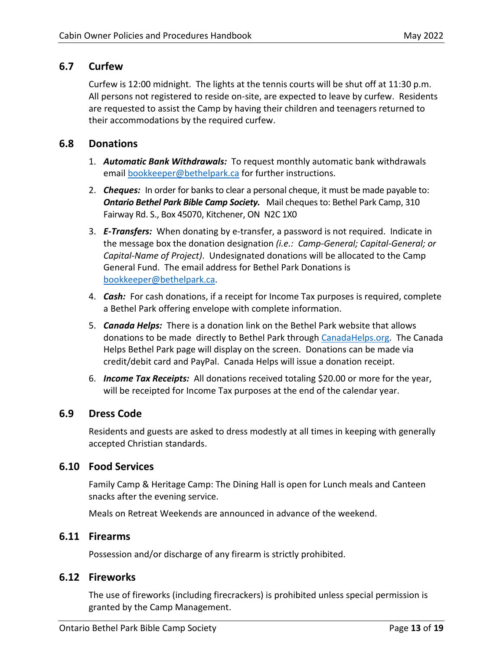### <span id="page-12-0"></span>**6.7 Curfew**

Curfew is 12:00 midnight. The lights at the tennis courts will be shut off at 11:30 p.m. All persons not registered to reside on-site, are expected to leave by curfew. Residents are requested to assist the Camp by having their children and teenagers returned to their accommodations by the required curfew.

### <span id="page-12-1"></span>**6.8 Donations**

- 1. *Automatic Bank Withdrawals:* To request monthly automatic bank withdrawals email [bookkeeper@bethelpark.ca](mailto:bookkeeper@bethelpark.ca?subject=Receipts%20for%20Taxable%20Donation) for further instructions.
- 2. *Cheques:* In order for banks to clear a personal cheque, it must be made payable to: *Ontario Bethel Park Bible Camp Society.* Mail cheques to: Bethel Park Camp, 310 Fairway Rd. S., Box 45070, Kitchener, ON N2C 1X0
- 3. *E-Transfers:* When donating by e-transfer, a password is not required. Indicate in the message box the donation designation *(i.e.: Camp-General; Capital-General; or Capital-Name of Project)*. Undesignated donations will be allocated to the Camp General Fund. The email address for Bethel Park Donations is [bookkeeper@bethelpark.ca.](mailto:bookkeeper@bethelpark.ca)
- 4. *Cash:* For cash donations, if a receipt for Income Tax purposes is required, complete a Bethel Park offering envelope with complete information.
- 5. *Canada Helps:* There is a donation link on the Bethel Park website that allows donations to be made directly to Bethel Park through [CanadaHelps.org.](https://www.canadahelps.org/en/charities/ontario-bethel-park-bible-camp-society/) The Canada Helps Bethel Park page will display on the screen. Donations can be made via credit/debit card and PayPal. Canada Helps will issue a donation receipt.
- 6. *Income Tax Receipts:* All donations received totaling \$20.00 or more for the year, will be receipted for Income Tax purposes at the end of the calendar year.

### <span id="page-12-2"></span>**6.9 Dress Code**

Residents and guests are asked to dress modestly at all times in keeping with generally accepted Christian standards.

### <span id="page-12-3"></span>**6.10 Food Services**

Family Camp & Heritage Camp: The Dining Hall is open for Lunch meals and Canteen snacks after the evening service.

Meals on Retreat Weekends are announced in advance of the weekend.

## <span id="page-12-4"></span>**6.11 Firearms**

Possession and/or discharge of any firearm is strictly prohibited.

### <span id="page-12-5"></span>**6.12 Fireworks**

The use of fireworks (including firecrackers) is prohibited unless special permission is granted by the Camp Management.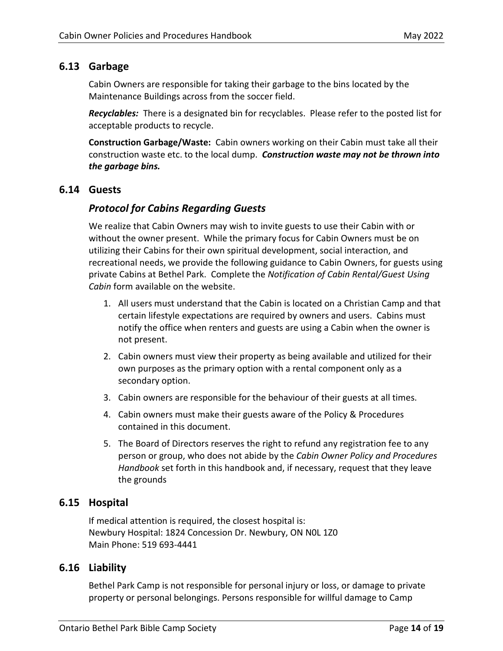## <span id="page-13-0"></span>**6.13 Garbage**

Cabin Owners are responsible for taking their garbage to the bins located by the Maintenance Buildings across from the soccer field.

*Recyclables:* There is a designated bin for recyclables. Please refer to the posted list for acceptable products to recycle.

**Construction Garbage/Waste:** Cabin owners working on their Cabin must take all their construction waste etc. to the local dump. *Construction waste may not be thrown into the garbage bins.* 

#### <span id="page-13-1"></span>**6.14 Guests**

### *Protocol for Cabins Regarding Guests*

We realize that Cabin Owners may wish to invite guests to use their Cabin with or without the owner present. While the primary focus for Cabin Owners must be on utilizing their Cabins for their own spiritual development, social interaction, and recreational needs, we provide the following guidance to Cabin Owners, for guests using private Cabins at Bethel Park. Complete the *Notification of Cabin Rental/Guest Using Cabin* form available on the website.

- 1. All users must understand that the Cabin is located on a Christian Camp and that certain lifestyle expectations are required by owners and users. Cabins must notify the office when renters and guests are using a Cabin when the owner is not present.
- 2. Cabin owners must view their property as being available and utilized for their own purposes as the primary option with a rental component only as a secondary option.
- 3. Cabin owners are responsible for the behaviour of their guests at all times.
- 4. Cabin owners must make their guests aware of the Policy & Procedures contained in this document.
- 5. The Board of Directors reserves the right to refund any registration fee to any person or group, who does not abide by the *Cabin Owner Policy and Procedures Handbook* set forth in this handbook and, if necessary, request that they leave the grounds

### <span id="page-13-2"></span>**6.15 Hospital**

If medical attention is required, the closest hospital is: Newbury Hospital: 1824 Concession Dr. Newbury, ON N0L 1Z0 Main Phone: 519 693-4441

### <span id="page-13-3"></span>**6.16 Liability**

Bethel Park Camp is not responsible for personal injury or loss, or damage to private property or personal belongings. Persons responsible for willful damage to Camp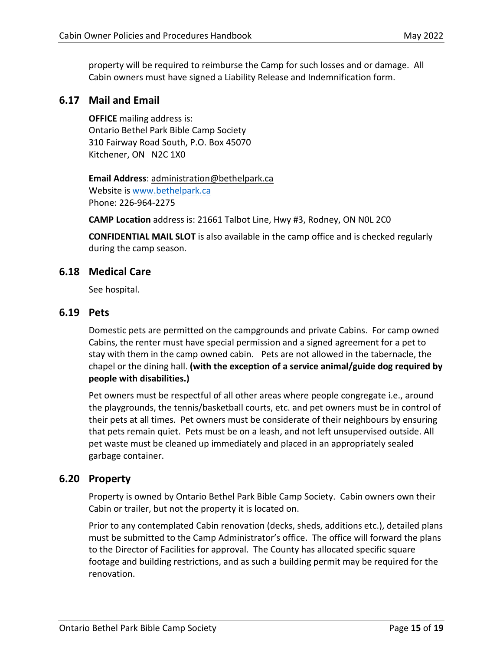property will be required to reimburse the Camp for such losses and or damage. All Cabin owners must have signed a Liability Release and Indemnification form.

### <span id="page-14-0"></span>**6.17 Mail and Email**

**OFFICE** mailing address is: Ontario Bethel Park Bible Camp Society 310 Fairway Road South, P.O. Box 45070 Kitchener, ON N2C 1X0

**Email Address**: administration@bethelpark.ca Website is [www.bethelpark.ca](http://www.braesidecamp.ca/) Phone: 226-964-2275

**CAMP Location** address is: 21661 Talbot Line, Hwy #3, Rodney, ON N0L 2C0

**CONFIDENTIAL MAIL SLOT** is also available in the camp office and is checked regularly during the camp season.

#### <span id="page-14-1"></span>**6.18 Medical Care**

See hospital.

#### <span id="page-14-2"></span>**6.19 Pets**

Domestic pets are permitted on the campgrounds and private Cabins. For camp owned Cabins, the renter must have special permission and a signed agreement for a pet to stay with them in the camp owned cabin. Pets are not allowed in the tabernacle, the chapel or the dining hall. **(with the exception of a service animal/guide dog required by people with disabilities.)** 

Pet owners must be respectful of all other areas where people congregate i.e., around the playgrounds, the tennis/basketball courts, etc. and pet owners must be in control of their pets at all times. Pet owners must be considerate of their neighbours by ensuring that pets remain quiet. Pets must be on a leash, and not left unsupervised outside. All pet waste must be cleaned up immediately and placed in an appropriately sealed garbage container.

#### <span id="page-14-3"></span>**6.20 Property**

Property is owned by Ontario Bethel Park Bible Camp Society. Cabin owners own their Cabin or trailer, but not the property it is located on.

Prior to any contemplated Cabin renovation (decks, sheds, additions etc.), detailed plans must be submitted to the Camp Administrator's office. The office will forward the plans to the Director of Facilities for approval. The County has allocated specific square footage and building restrictions, and as such a building permit may be required for the renovation.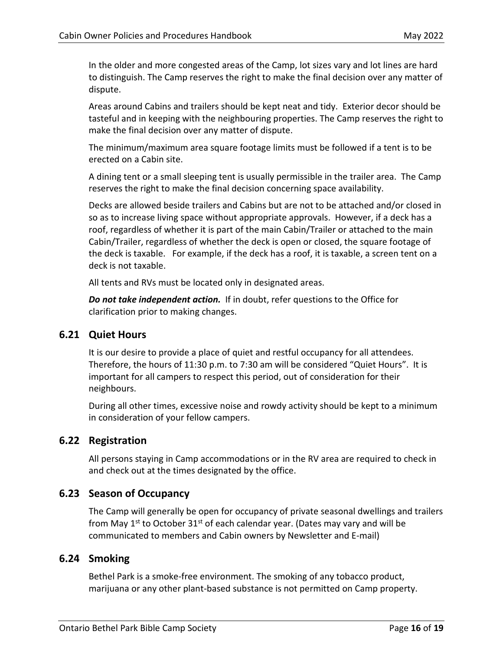In the older and more congested areas of the Camp, lot sizes vary and lot lines are hard to distinguish. The Camp reserves the right to make the final decision over any matter of dispute.

Areas around Cabins and trailers should be kept neat and tidy. Exterior decor should be tasteful and in keeping with the neighbouring properties. The Camp reserves the right to make the final decision over any matter of dispute.

The minimum/maximum area square footage limits must be followed if a tent is to be erected on a Cabin site.

A dining tent or a small sleeping tent is usually permissible in the trailer area. The Camp reserves the right to make the final decision concerning space availability.

Decks are allowed beside trailers and Cabins but are not to be attached and/or closed in so as to increase living space without appropriate approvals. However, if a deck has a roof, regardless of whether it is part of the main Cabin/Trailer or attached to the main Cabin/Trailer, regardless of whether the deck is open or closed, the square footage of the deck is taxable. For example, if the deck has a roof, it is taxable, a screen tent on a deck is not taxable.

All tents and RVs must be located only in designated areas.

*Do not take independent action.* If in doubt, refer questions to the Office for clarification prior to making changes.

### <span id="page-15-0"></span>**6.21 Quiet Hours**

It is our desire to provide a place of quiet and restful occupancy for all attendees. Therefore, the hours of 11:30 p.m. to 7:30 am will be considered "Quiet Hours". It is important for all campers to respect this period, out of consideration for their neighbours.

During all other times, excessive noise and rowdy activity should be kept to a minimum in consideration of your fellow campers.

### <span id="page-15-1"></span>**6.22 Registration**

All persons staying in Camp accommodations or in the RV area are required to check in and check out at the times designated by the office.

### <span id="page-15-2"></span>**6.23 Season of Occupancy**

The Camp will generally be open for occupancy of private seasonal dwellings and trailers from May  $1^{st}$  to October 31<sup>st</sup> of each calendar year. (Dates may vary and will be communicated to members and Cabin owners by Newsletter and E-mail)

### <span id="page-15-3"></span>**6.24 Smoking**

Bethel Park is a smoke-free environment. The smoking of any tobacco product, marijuana or any other plant-based substance is not permitted on Camp property.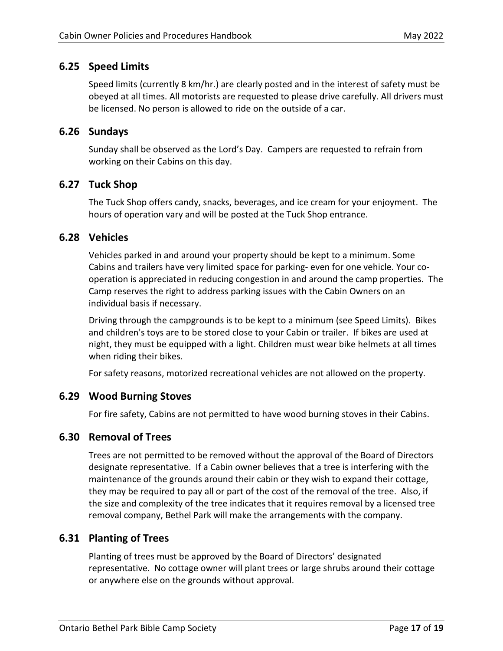## <span id="page-16-0"></span>**6.25 Speed Limits**

Speed limits (currently 8 km/hr.) are clearly posted and in the interest of safety must be obeyed at all times. All motorists are requested to please drive carefully. All drivers must be licensed. No person is allowed to ride on the outside of a car.

### <span id="page-16-1"></span>**6.26 Sundays**

Sunday shall be observed as the Lord's Day. Campers are requested to refrain from working on their Cabins on this day.

### <span id="page-16-2"></span>**6.27 Tuck Shop**

The Tuck Shop offers candy, snacks, beverages, and ice cream for your enjoyment. The hours of operation vary and will be posted at the Tuck Shop entrance.

### <span id="page-16-3"></span>**6.28 Vehicles**

Vehicles parked in and around your property should be kept to a minimum. Some Cabins and trailers have very limited space for parking- even for one vehicle. Your cooperation is appreciated in reducing congestion in and around the camp properties. The Camp reserves the right to address parking issues with the Cabin Owners on an individual basis if necessary.

Driving through the campgrounds is to be kept to a minimum (see Speed Limits). Bikes and children's toys are to be stored close to your Cabin or trailer. If bikes are used at night, they must be equipped with a light. Children must wear bike helmets at all times when riding their bikes.

For safety reasons, motorized recreational vehicles are not allowed on the property.

### <span id="page-16-4"></span>**6.29 Wood Burning Stoves**

For fire safety, Cabins are not permitted to have wood burning stoves in their Cabins.

### <span id="page-16-5"></span>**6.30 Removal of Trees**

Trees are not permitted to be removed without the approval of the Board of Directors designate representative. If a Cabin owner believes that a tree is interfering with the maintenance of the grounds around their cabin or they wish to expand their cottage, they may be required to pay all or part of the cost of the removal of the tree. Also, if the size and complexity of the tree indicates that it requires removal by a licensed tree removal company, Bethel Park will make the arrangements with the company.

### <span id="page-16-6"></span>**6.31 Planting of Trees**

Planting of trees must be approved by the Board of Directors' designated representative. No cottage owner will plant trees or large shrubs around their cottage or anywhere else on the grounds without approval.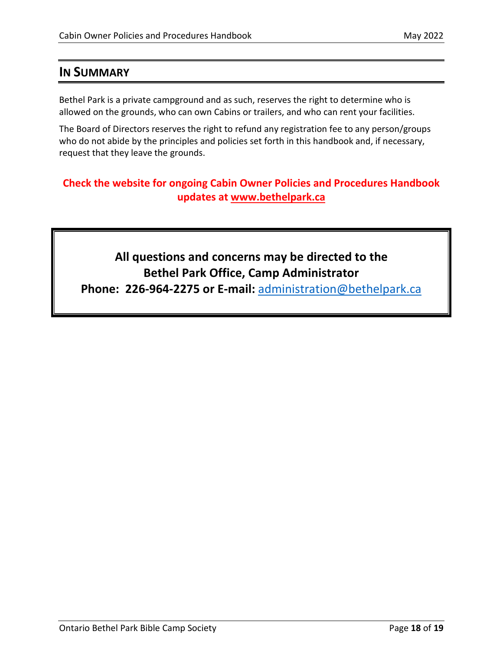# <span id="page-17-0"></span>**IN SUMMARY**

Bethel Park is a private campground and as such, reserves the right to determine who is allowed on the grounds, who can own Cabins or trailers, and who can rent your facilities.

The Board of Directors reserves the right to refund any registration fee to any person/groups who do not abide by the principles and policies set forth in this handbook and, if necessary, request that they leave the grounds.

# **Check the website for ongoing Cabin Owner Policies and Procedures Handbook updates at [www.bethelpark.ca](http://www.bethelpark.ca/)**

# **All questions and concerns may be directed to the Bethel Park Office, Camp Administrator**

**Phone: 226-964-2275 or E-mail:** [administration@bethelpark.ca](mailto:administration@bethelpark.ca)